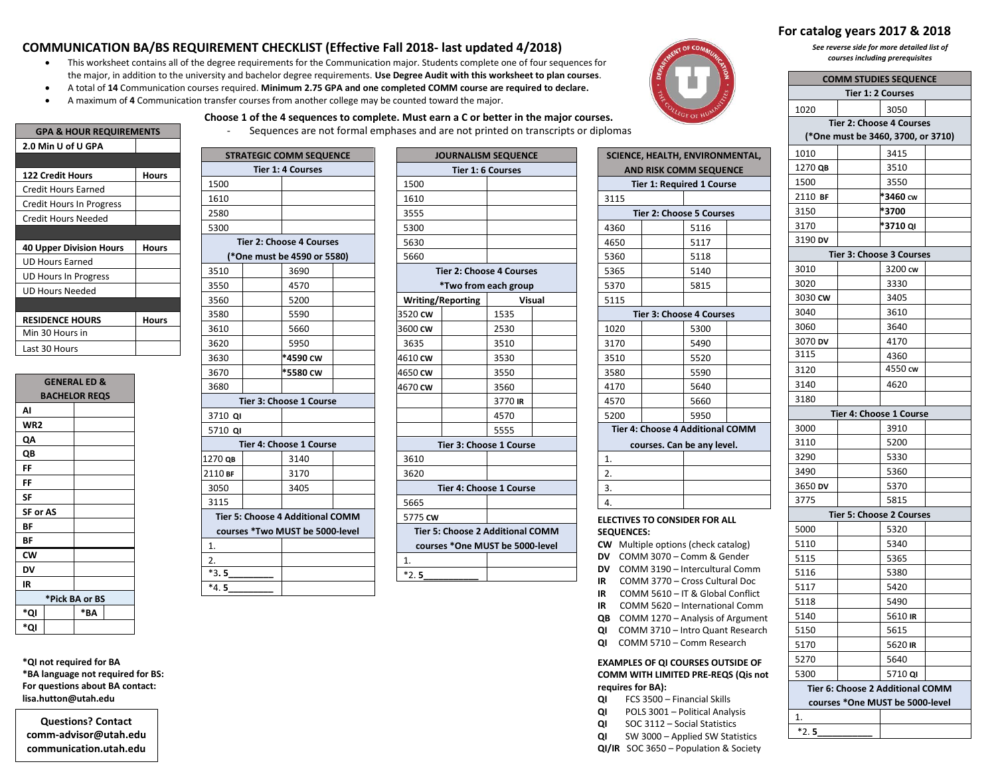## **COMMUNICATION BA/BS REQUIREMENT CHECKLIST (Effective Fall 2018- last updated 4/2018)**

 This worksheet contains all of the degree requirements for the Communication major. Students complete one of four sequences for the major, in addition to the university and bachelor degree requirements. **Use Degree Audit with this worksheet to plan courses**.

**Choose 1 of the 4 sequences to complete. Must earn a C or better in the major courses.** 

- A total of **14** Communication courses required. **Minimum 2.75 GPA and one completed COMM course are required to declare.**
- A maximum of **4** Communication transfer courses from another college may be counted toward the major.



# **For catalog years 2017 & 2018**

*See reverse side for more detailed list of courses including prerequisites*

|                                 | <b>COMM STUDIES SEQUENCE</b><br><b>Tier 1: 2 Courses</b> |  |  |  |  |  |
|---------------------------------|----------------------------------------------------------|--|--|--|--|--|
| 1020                            | 3050                                                     |  |  |  |  |  |
| <b>Tier 2: Choose 4 Courses</b> |                                                          |  |  |  |  |  |
|                                 | (*One must be 3460, 3700, or 3710)                       |  |  |  |  |  |
| 1010                            | 3415                                                     |  |  |  |  |  |
| 1270 QB                         | 3510                                                     |  |  |  |  |  |
| 1500                            | 3550                                                     |  |  |  |  |  |
| *3460 cw<br>2110 BF             |                                                          |  |  |  |  |  |
| 3150                            | *3700                                                    |  |  |  |  |  |
| 3170                            | *3710 QI                                                 |  |  |  |  |  |
| 3190 DV                         |                                                          |  |  |  |  |  |
|                                 | <b>Tier 3: Choose 3 Courses</b>                          |  |  |  |  |  |
| 3010                            | 3200 cw                                                  |  |  |  |  |  |
| 3020                            | 3330                                                     |  |  |  |  |  |
| 3030 CW                         | 3405                                                     |  |  |  |  |  |
| 3040                            | 3610                                                     |  |  |  |  |  |
| 3060                            | 3640                                                     |  |  |  |  |  |
| 3070 DV                         | 4170                                                     |  |  |  |  |  |
| 3115                            | 4360                                                     |  |  |  |  |  |
| 3120                            | 4550 cw                                                  |  |  |  |  |  |
| 3140                            | 4620                                                     |  |  |  |  |  |
| 3180                            |                                                          |  |  |  |  |  |
|                                 | Tier 4: Choose 1 Course                                  |  |  |  |  |  |
| 3000                            | 3910                                                     |  |  |  |  |  |
| 3110                            | 5200                                                     |  |  |  |  |  |
| 3290                            | 5330                                                     |  |  |  |  |  |
| 3490                            | 5360                                                     |  |  |  |  |  |
| 3650 DV                         | 5370                                                     |  |  |  |  |  |
| 3775                            | 5815                                                     |  |  |  |  |  |
|                                 | Tier 5: Choose 2 Courses                                 |  |  |  |  |  |
| 5000                            | 5320                                                     |  |  |  |  |  |
| 5110                            | 5340                                                     |  |  |  |  |  |
| 5115                            | 5365                                                     |  |  |  |  |  |
| 5116                            | 5380                                                     |  |  |  |  |  |
| 5117                            | 5420                                                     |  |  |  |  |  |
| 5118                            | 5490                                                     |  |  |  |  |  |
| 5140                            | 5610 IR                                                  |  |  |  |  |  |
| 5150                            | 5615                                                     |  |  |  |  |  |
| 5170                            | 5620 IR                                                  |  |  |  |  |  |
| 5270                            | 5640                                                     |  |  |  |  |  |
| 5300                            | 5710 QI                                                  |  |  |  |  |  |
|                                 | Tier 6: Choose 2 Additional COMM                         |  |  |  |  |  |
|                                 | courses *One MUST be 5000-level                          |  |  |  |  |  |

| <b>GPA &amp; HOUR REQUIREMENTS</b> |       |  |  |  |
|------------------------------------|-------|--|--|--|
| 2.0 Min U of U GPA                 |       |  |  |  |
|                                    |       |  |  |  |
| <b>122 Credit Hours</b>            | Hours |  |  |  |
| Credit Hours Earned                |       |  |  |  |
| Credit Hours In Progress           |       |  |  |  |
| Credit Hours Needed                |       |  |  |  |
|                                    |       |  |  |  |
| <b>40 Upper Division Hours</b>     | Hours |  |  |  |
| <b>UD Hours Earned</b>             |       |  |  |  |
| UD Hours In Progress               |       |  |  |  |
| UD Hours Needed                    |       |  |  |  |
|                                    |       |  |  |  |
| <b>RESIDENCE HOURS</b>             | Hours |  |  |  |
| Min 30 Hours in                    |       |  |  |  |
| Last 30 Hours                      |       |  |  |  |
|                                    |       |  |  |  |

| <b>GENERAL ED &amp;</b> |                      |  |  |  |  |  |
|-------------------------|----------------------|--|--|--|--|--|
|                         | <b>BACHELOR REQS</b> |  |  |  |  |  |
| AI                      |                      |  |  |  |  |  |
| WR <sub>2</sub>         |                      |  |  |  |  |  |
| QΑ                      |                      |  |  |  |  |  |
| QB                      |                      |  |  |  |  |  |
| FF                      |                      |  |  |  |  |  |
| FF                      |                      |  |  |  |  |  |
| <b>SF</b>               |                      |  |  |  |  |  |
| <b>SF or AS</b>         |                      |  |  |  |  |  |
| BF                      |                      |  |  |  |  |  |
| ΒF                      |                      |  |  |  |  |  |
| <b>CW</b>               |                      |  |  |  |  |  |
| DV                      |                      |  |  |  |  |  |
| IR                      |                      |  |  |  |  |  |
| *Pick BA or BS          |                      |  |  |  |  |  |
| <u>*QI</u>              | *ΒΛ                  |  |  |  |  |  |
| *QI                     |                      |  |  |  |  |  |

**\*QI not required for BA \*BA language not required for BS: For questions about BA contact: lisa.hutton@utah.edu**

**Questions? Contact comm-advisor@utah.edu communication.utah.edu**

| <b>STRATEGIC COMM SEQUENCE</b> |  |                                  |  |  |
|--------------------------------|--|----------------------------------|--|--|
| <b>Tier 1: 4 Courses</b>       |  |                                  |  |  |
| 1500                           |  |                                  |  |  |
| 1610                           |  |                                  |  |  |
| 2580                           |  |                                  |  |  |
| 5300                           |  |                                  |  |  |
|                                |  | <b>Tier 2: Choose 4 Courses</b>  |  |  |
|                                |  | (*One must be 4590 or 5580)      |  |  |
| 3510                           |  | 3690                             |  |  |
| 3550                           |  | 4570                             |  |  |
| 3560                           |  | 5200                             |  |  |
| 3580                           |  | 5590                             |  |  |
| 3610                           |  | 5660                             |  |  |
| 3620                           |  | 5950                             |  |  |
| 3630                           |  | *4590 cw                         |  |  |
| 3670                           |  | *5580 cw                         |  |  |
| 3680                           |  |                                  |  |  |
|                                |  | Tier 3: Choose 1 Course          |  |  |
| 3710 QI                        |  |                                  |  |  |
| 5710 QI                        |  |                                  |  |  |
|                                |  | Tier 4: Choose 1 Course          |  |  |
| 1270 QB                        |  | 3140                             |  |  |
| 2110 BF                        |  | 3170                             |  |  |
| 3050                           |  | 3405                             |  |  |
| 3115                           |  |                                  |  |  |
|                                |  | Tier 5: Choose 4 Additional COMM |  |  |
|                                |  | courses *Two MUST be 5000-level  |  |  |
| 1.                             |  |                                  |  |  |
| 2.                             |  |                                  |  |  |
| $*3.5$                         |  |                                  |  |  |
| $*4.5$                         |  |                                  |  |  |

|                          |                          | <b>JOURNALISM SEQUENCE</b>              |               |
|--------------------------|--------------------------|-----------------------------------------|---------------|
|                          | <b>Tier 1: 6 Courses</b> |                                         |               |
| 1500                     |                          |                                         |               |
| 1610                     |                          |                                         |               |
| 3555                     |                          |                                         |               |
| 5300                     |                          |                                         |               |
| 5630                     |                          |                                         |               |
| 5660                     |                          |                                         |               |
|                          |                          | <b>Tier 2: Choose 4 Courses</b>         |               |
|                          |                          | *Two from each group                    |               |
| <b>Writing/Reporting</b> |                          |                                         | <b>Visual</b> |
| 3520 CW                  |                          | 1535                                    |               |
| 3600 CW                  |                          | 2530                                    |               |
| 3635                     |                          | 3510                                    |               |
| 4610 CW                  |                          | 3530                                    |               |
| 4650 cw                  |                          | 3550                                    |               |
| 4670 cw                  |                          | 3560                                    |               |
|                          |                          | 3770 IR                                 |               |
|                          |                          | 4570                                    |               |
|                          |                          | 5555                                    |               |
|                          |                          | Tier 3: Choose 1 Course                 |               |
| 3610                     |                          |                                         |               |
| 3620                     |                          |                                         |               |
|                          |                          | Tier 4: Choose 1 Course                 |               |
| 5665                     |                          |                                         |               |
| 5775 CW                  |                          |                                         |               |
|                          |                          | <b>Tier 5: Choose 2 Additional COMM</b> |               |
|                          |                          | courses *One MUST be 5000-level         |               |
| 1.                       |                          |                                         |               |

|                                | Sequences are not formal emphases and are not printed on transcripts or diplomas |                          |                                  |                                 |  |                               |                                         |  |  |
|--------------------------------|----------------------------------------------------------------------------------|--------------------------|----------------------------------|---------------------------------|--|-------------------------------|-----------------------------------------|--|--|
|                                | <b>STRATEGIC COMM SEQUENCE</b>                                                   |                          |                                  | <b>JOURNALISM SEQUENCE</b>      |  |                               | SCIENCE, HEALTH, ENVIRONMENTAL,         |  |  |
| <b>Tier 1: 4 Courses</b>       |                                                                                  |                          | <b>Tier 1: 6 Courses</b>         |                                 |  | <b>AND RISK COMM SEQUENCE</b> |                                         |  |  |
| D                              |                                                                                  | 1500                     |                                  |                                 |  |                               | <b>Tier 1: Required 1 Course</b>        |  |  |
| D                              |                                                                                  | 1610                     |                                  |                                 |  | 3115                          |                                         |  |  |
| D                              |                                                                                  | 3555                     |                                  |                                 |  |                               | <b>Tier 2: Choose 5 Courses</b>         |  |  |
| D                              |                                                                                  | 5300                     |                                  |                                 |  | 4360                          | 5116                                    |  |  |
|                                | <b>Tier 2: Choose 4 Courses</b>                                                  | 5630                     |                                  |                                 |  | 4650                          | 5117                                    |  |  |
| (*One must be 4590 or 5580)    |                                                                                  | 5660                     |                                  |                                 |  | 5360                          | 5118                                    |  |  |
| D                              | 3690                                                                             |                          |                                  | <b>Tier 2: Choose 4 Courses</b> |  | 5365                          | 5140                                    |  |  |
| D                              | 4570                                                                             |                          | *Two from each group             |                                 |  | 5370                          | 5815                                    |  |  |
| D                              | 5200                                                                             | <b>Writing/Reporting</b> |                                  | Visual                          |  | 5115                          |                                         |  |  |
| 0                              | 5590                                                                             | 3520 CW                  |                                  | 1535                            |  |                               | <b>Tier 3: Choose 4 Courses</b>         |  |  |
| D                              | 5660                                                                             | 3600 CW                  |                                  | 2530                            |  | 1020                          | 5300                                    |  |  |
| D                              | 5950                                                                             | 3635                     |                                  | 3510                            |  | 3170                          | 5490                                    |  |  |
| 0                              | *4590 cw                                                                         | 4610 CW                  |                                  | 3530                            |  | 3510                          | 5520                                    |  |  |
| D                              | *5580 cw                                                                         | 4650 CW                  |                                  | 3550                            |  | 3580                          | 5590                                    |  |  |
| D                              |                                                                                  | 4670 cw                  |                                  | 3560                            |  | 4170                          | 5640                                    |  |  |
| Tier 3: Choose 1 Course        |                                                                                  |                          |                                  | 3770 IR                         |  | 4570                          | 5660                                    |  |  |
| 0 QI                           |                                                                                  |                          |                                  | 4570                            |  | 5200                          | 5950                                    |  |  |
| 0 QI                           |                                                                                  |                          |                                  | 5555                            |  |                               | <b>Tier 4: Choose 4 Additional COMM</b> |  |  |
| <b>Tier 4: Choose 1 Course</b> |                                                                                  |                          | Tier 3: Choose 1 Course          |                                 |  | courses. Can be any level.    |                                         |  |  |
| QB                             | 3140                                                                             | 3610                     |                                  |                                 |  | 1.                            |                                         |  |  |
| BF                             | 3170                                                                             | 3620                     |                                  |                                 |  | 2.                            |                                         |  |  |
| D                              | 3405                                                                             |                          | Tier 4: Choose 1 Course          |                                 |  | 3.                            |                                         |  |  |
|                                |                                                                                  | 5665                     |                                  |                                 |  | $\overline{4}$ .              |                                         |  |  |
| er 5: Choose 4 Additional COMM |                                                                                  | 5775 CW                  |                                  |                                 |  |                               | <b>ELECTIVES TO CONSIDER FOR ALL</b>    |  |  |
| urses *Two MUST be 5000-level  |                                                                                  |                          | Tier 5: Choose 2 Additional COMM |                                 |  | <b>SEQUENCES:</b>             |                                         |  |  |

- **CW** Multiple options (check catalog)
- **DV** COMM 3070 Comm & Gender
- **DV** COMM 3190 Intercultural Comm
- **IR** COMM 3770 Cross Cultural Doc
- **IR** COMM 5610 IT & Global Conflict
- **IR** COMM 5620 International Comm
- **QB** COMM 1270 Analysis of Argument
- **QI** COMM 3710 Intro Quant Research
- **QI** COMM 5710 Comm Research

**EXAMPLES OF QI COURSES OUTSIDE OF COMM WITH LIMITED PRE-REQS (Qis not requires for BA):**

- **QI** FCS 3500 Financial Skills
- **QI** POLS 3001 Political Analysis
- **QI** SOC 3112 Social Statistics
- **QI** SW 3000 Applied SW Statistics

**QI/IR** SOC 3650 – Population & Society

\*2. **5\_\_\_\_\_\_\_\_\_\_\_**